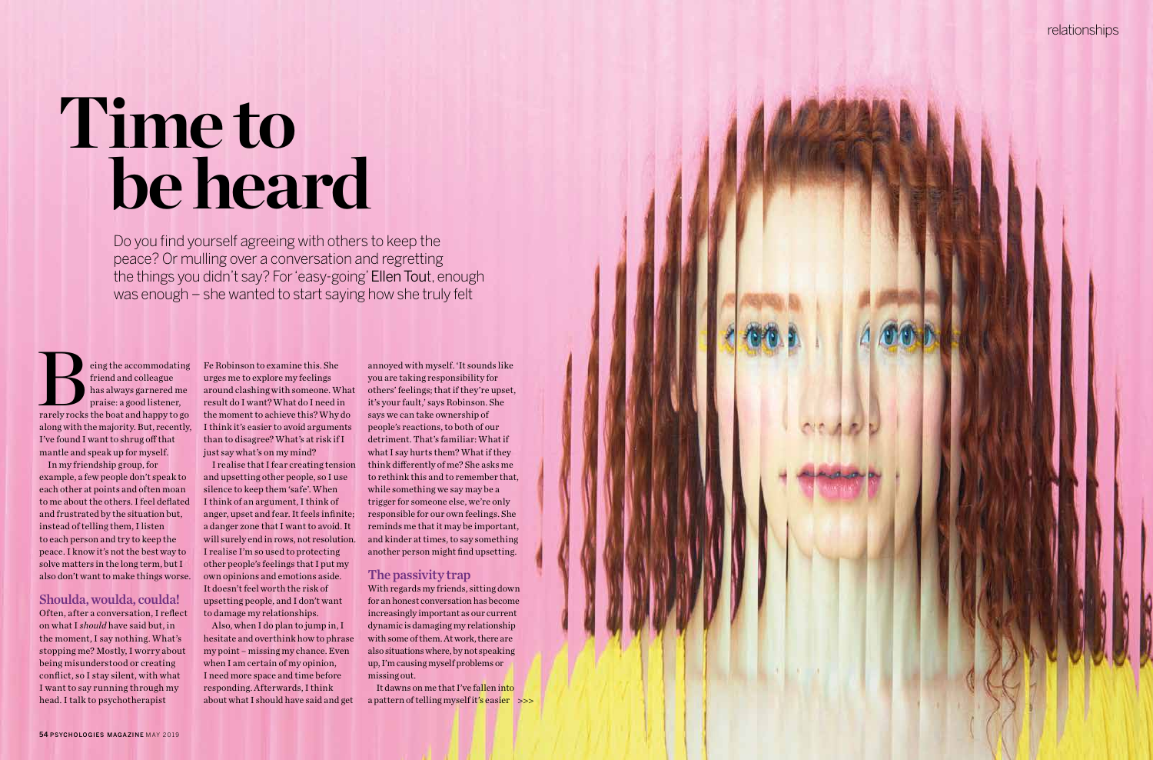# **Time to be heard**

Do you find yourself agreeing with others to keep the peace? Or mulling over a conversation and regretting the things you didn't say? For 'easy-going' Ellen Tout, enough was enough – she wanted to start saying how she truly felt

eing the accommodating<br>friend and colleague<br>has always garnered me<br>praise: a good listener,<br>rarely rocks the boat and happy to go friend and colleague has always garnered me praise: a good listener, along with the majority. But, recently, I've found I want to shrug off that mantle and speak up for myself.

In my friendship group, for example, a few people don't speak to each other at points and often moan to me about the others. I feel deflated and frustrated by the situation but, instead of telling them, I listen to each person and try to keep the peace. I know it's not the best way to solve matters in the long term, but I also don't want to make things worse.

#### Shoulda, woulda, coulda! Often, after a conversation, I reflect

on what I *should* have said but, in the moment, I say nothing. What's stopping me? Mostly, I worry about being misunderstood or creating conflict, so I stay silent, with what I want to say running through my head. I talk to psychotherapist

Fe Robinson to examine this. She urges me to explore my feelings around clashing with someone. What result do I want? What do I need in the moment to achieve this? Why do I think it's easier to avoid arguments than to disagree? What's at risk if I just say what's on my mind?

> a pattern of telling myself it's easier >>> It dawns on me that I've fallen into

I realise that I fear creating tension and upsetting other people, so I use silence to keep them 'safe'. When I think of an argument, I think of anger, upset and fear. It feels infinite; a danger zone that I want to avoid. It will surely end in rows, not resolution. I realise I'm so used to protecting other people's feelings that I put my own opinions and emotions aside. It doesn't feel worth the risk of upsetting people, and I don't want to damage my relationships.

Also, when I do plan to jump in, I hesitate and overthink how to phrase my point – missing my chance. Even when I am certain of my opinion, I need more space and time before responding. Afterwards, I think about what I should have said and get

annoyed with myself. 'It sounds like you are taking responsibility for others' feelings; that if they're upset, it's your fault,' says Robinson. She says we can take ownership of people's reactions, to both of our detriment. That's familiar: What if what I say hurts them? What if they think differently of me? She asks me to rethink this and to remember that, while something we say may be a trigger for someone else, we're only responsible for our own feelings. She reminds me that it may be important, and kinder at times, to say something another person might find upsetting.

#### The passivity trap

With regards my friends, sitting down for an honest conversation has become increasingly important as our current dynamic is damaging my relationship with some of them. At work, there are also situations where, by not speaking up, I'm causing myself problems or missing out.